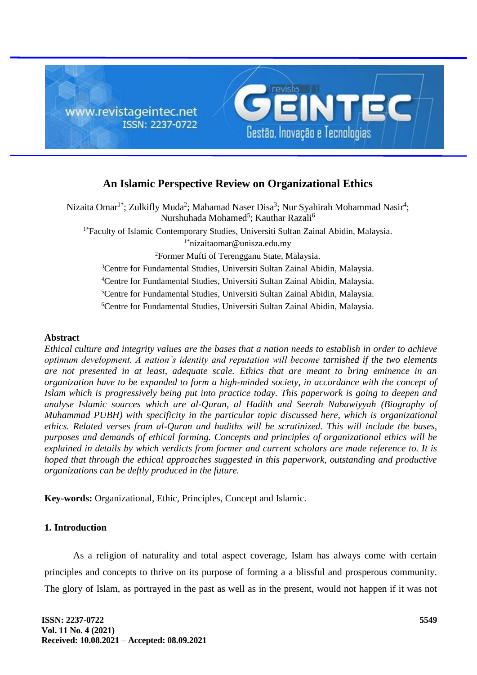

# **An Islamic Perspective Review on Organizational Ethics**

Nizaita Omar<sup>1\*</sup>; Zulkifly Muda<sup>2</sup>; Mahamad Naser Disa<sup>3</sup>; Nur Syahirah Mohammad Nasir<sup>4</sup>; Nurshuhada Mohamed<sup>5</sup>; Kauthar Razali<sup>6</sup> <sup>1\*</sup>Faculty of Islamic Contemporary Studies, Universiti Sultan Zainal Abidin, Malaysia. 1\*nizaitaomar@unisza.edu.my <sup>2</sup>Former Mufti of Terengganu State, Malaysia. <sup>3</sup>Centre for Fundamental Studies, Universiti Sultan Zainal Abidin, Malaysia. <sup>4</sup>Centre for Fundamental Studies, Universiti Sultan Zainal Abidin, Malaysia. <sup>5</sup>Centre for Fundamental Studies, Universiti Sultan Zainal Abidin, Malaysia. <sup>6</sup>Centre for Fundamental Studies, Universiti Sultan Zainal Abidin, Malaysia.

## **Abstract**

*Ethical culture and integrity values are the bases that a nation needs to establish in order to achieve optimum development. A nation's identity and reputation will become tarnished if the two elements are not presented in at least, adequate scale. Ethics that are meant to bring eminence in an organization have to be expanded to form a high-minded society, in accordance with the concept of Islam which is progressively being put into practice today. This paperwork is going to deepen and analyse Islamic sources which are al-Quran, al Hadith and Seerah Nabawiyyah (Biography of Muhammad PUBH) with specificity in the particular topic discussed here, which is organizational ethics. Related verses from al-Quran and hadiths will be scrutinized. This will include the bases, purposes and demands of ethical forming. Concepts and principles of organizational ethics will be explained in details by which verdicts from former and current scholars are made reference to. It is hoped that through the ethical approaches suggested in this paperwork, outstanding and productive organizations can be deftly produced in the future.*

**Key-words:** Organizational, Ethic, Principles, Concept and Islamic.

## **1. Introduction**

As a religion of naturality and total aspect coverage, Islam has always come with certain principles and concepts to thrive on its purpose of forming a a blissful and prosperous community. The glory of Islam, as portrayed in the past as well as in the present, would not happen if it was not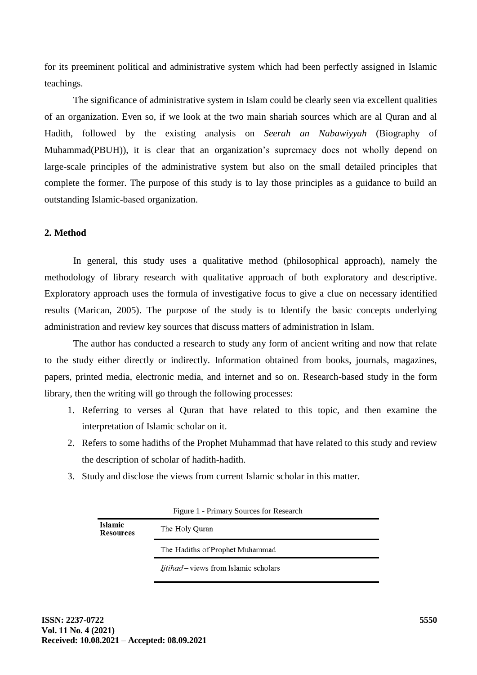for its preeminent political and administrative system which had been perfectly assigned in Islamic teachings.

The significance of administrative system in Islam could be clearly seen via excellent qualities of an organization. Even so, if we look at the two main shariah sources which are al Quran and al Hadith, followed by the existing analysis on *Seerah an Nabawiyyah* (Biography of Muhammad(PBUH)), it is clear that an organization's supremacy does not wholly depend on large-scale principles of the administrative system but also on the small detailed principles that complete the former. The purpose of this study is to lay those principles as a guidance to build an outstanding Islamic-based organization.

## **2. Method**

In general, this study uses a qualitative method (philosophical approach), namely the methodology of library research with qualitative approach of both exploratory and descriptive. Exploratory approach uses the formula of investigative focus to give a clue on necessary identified results (Marican, 2005). The purpose of the study is to Identify the basic concepts underlying administration and review key sources that discuss matters of administration in Islam.

The author has conducted a research to study any form of ancient writing and now that relate to the study either directly or indirectly. Information obtained from books, journals, magazines, papers, printed media, electronic media, and internet and so on. Research-based study in the form library, then the writing will go through the following processes:

- 1. Referring to verses al Quran that have related to this topic, and then examine the interpretation of Islamic scholar on it.
- 2. Refers to some hadiths of the Prophet Muhammad that have related to this study and review the description of scholar of hadith-hadith.
- 3. Study and disclose the views from current Islamic scholar in this matter.

| Tigure 1 - 1 milliary Sources for Research |                                     |
|--------------------------------------------|-------------------------------------|
| <b>Islamic</b><br><b>Resources</b>         | The Holy Quran                      |
|                                            | The Hadiths of Prophet Muhammad     |
|                                            | Ijtihad-views from Islamic scholars |

Figure 1 - Primary Sources for Research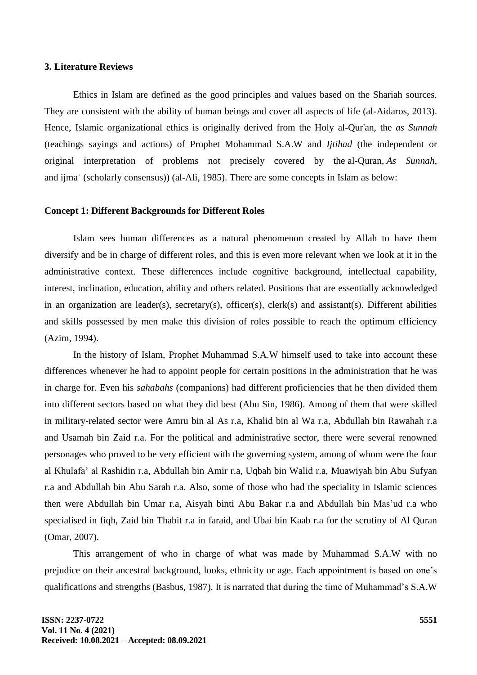### **3. Literature Reviews**

Ethics in Islam are defined as the good principles and values based on the Shariah sources. They are consistent with the ability of human beings and cover all aspects of life (al-Aidaros, 2013). Hence, Islamic organizational ethics is originally derived from the Holy al-Qur'an, the *as Sunnah*  (teachings sayings and actions) of Prophet Mohammad S.A.W and *Ijtihad* (the independent or original interpretation of problems not precisely covered by the al[-Quran,](https://www.britannica.com/topic/Quran) *As Sunnah*, and [ijmaʿ](https://www.britannica.com/topic/ijma) (scholarly consensus)) (al-Ali, 1985). There are some concepts in Islam as below:

#### **Concept 1: Different Backgrounds for Different Roles**

Islam sees human differences as a natural phenomenon created by Allah to have them diversify and be in charge of different roles, and this is even more relevant when we look at it in the administrative context. These differences include cognitive background, intellectual capability, interest, inclination, education, ability and others related. Positions that are essentially acknowledged in an organization are leader(s), secretary(s), officer(s), clerk(s) and assistant(s). Different abilities and skills possessed by men make this division of roles possible to reach the optimum efficiency (Azim, 1994).

In the history of Islam, Prophet Muhammad S.A.W himself used to take into account these differences whenever he had to appoint people for certain positions in the administration that he was in charge for. Even his *sahabahs* (companions) had different proficiencies that he then divided them into different sectors based on what they did best (Abu Sin, 1986). Among of them that were skilled in military-related sector were Amru bin al As r.a, Khalid bin al Wa r.a, Abdullah bin Rawahah r.a and Usamah bin Zaid r.a. For the political and administrative sector, there were several renowned personages who proved to be very efficient with the governing system, among of whom were the four al Khulafa' al Rashidin r.a, Abdullah bin Amir r.a, Uqbah bin Walid r.a, Muawiyah bin Abu Sufyan r.a and Abdullah bin Abu Sarah r.a. Also, some of those who had the speciality in Islamic sciences then were Abdullah bin Umar r.a, Aisyah binti Abu Bakar r.a and Abdullah bin Mas'ud r.a who specialised in fiqh, Zaid bin Thabit r.a in faraid, and Ubai bin Kaab r.a for the scrutiny of Al Quran (Omar, 2007).

This arrangement of who in charge of what was made by Muhammad S.A.W with no prejudice on their ancestral background, looks, ethnicity or age. Each appointment is based on one's qualifications and strengths (Basbus, 1987). It is narrated that during the time of Muhammad's S.A.W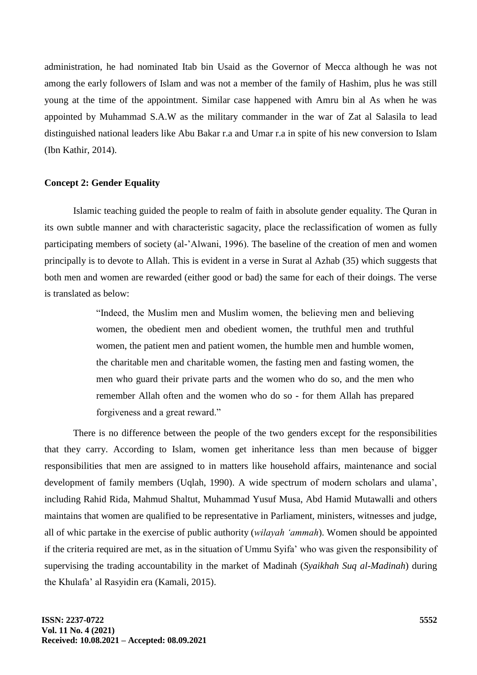administration, he had nominated Itab bin Usaid as the Governor of Mecca although he was not among the early followers of Islam and was not a member of the family of Hashim, plus he was still young at the time of the appointment. Similar case happened with Amru bin al As when he was appointed by Muhammad S.A.W as the military commander in the war of Zat al Salasila to lead distinguished national leaders like Abu Bakar r.a and Umar r.a in spite of his new conversion to Islam (Ibn Kathir, 2014).

## **Concept 2: Gender Equality**

Islamic teaching guided the people to realm of faith in absolute gender equality. The Quran in its own subtle manner and with characteristic sagacity, place the reclassification of women as fully participating members of society (al-'Alwani, 1996). The baseline of the creation of men and women principally is to devote to Allah. This is evident in a verse in Surat al Azhab (35) which suggests that both men and women are rewarded (either good or bad) the same for each of their doings. The verse is translated as below:

> "Indeed, the Muslim men and Muslim women, the believing men and believing women, the obedient men and obedient women, the truthful men and truthful women, the patient men and patient women, the humble men and humble women, the charitable men and charitable women, the fasting men and fasting women, the men who guard their private parts and the women who do so, and the men who remember Allah often and the women who do so - for them Allah has prepared forgiveness and a great reward."

There is no difference between the people of the two genders except for the responsibilities that they carry. According to Islam, women get inheritance less than men because of bigger responsibilities that men are assigned to in matters like household affairs, maintenance and social development of family members (Uqlah, 1990). A wide spectrum of modern scholars and ulama', including Rahid Rida, Mahmud Shaltut, Muhammad Yusuf Musa, Abd Hamid Mutawalli and others maintains that women are qualified to be representative in Parliament, ministers, witnesses and judge, all of whic partake in the exercise of public authority (*wilayah 'ammah*). Women should be appointed if the criteria required are met, as in the situation of Ummu Syifa' who was given the responsibility of supervising the trading accountability in the market of Madinah (*Syaikhah Suq al-Madinah*) during the Khulafa' al Rasyidin era (Kamali, 2015).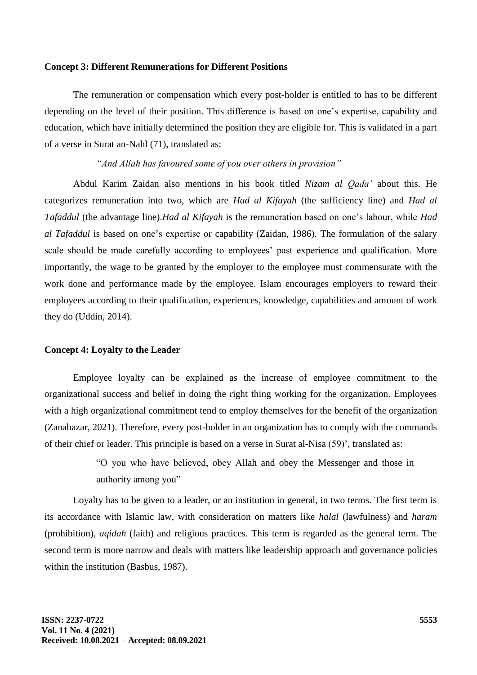#### **Concept 3: Different Remunerations for Different Positions**

The remuneration or compensation which every post-holder is entitled to has to be different depending on the level of their position. This difference is based on one's expertise, capability and education, which have initially determined the position they are eligible for. This is validated in a part of a verse in Surat an-Nahl (71), translated as:

## *"And Allah has favoured some of you over others in provision"*

Abdul Karim Zaidan also mentions in his book titled *Nizam al Qada'* about this. He categorizes remuneration into two, which are *Had al Kifayah* (the sufficiency line) and *Had al Tafaddul* (the advantage line).*Had al Kifayah* is the remuneration based on one's labour, while *Had al Tafaddul* is based on one's expertise or capability (Zaidan, 1986). The formulation of the salary scale should be made carefully according to employees' past experience and qualification. More importantly, the wage to be granted by the employer to the employee must commensurate with the work done and performance made by the employee. Islam encourages employers to reward their employees according to their qualification, experiences, knowledge, capabilities and amount of work they do (Uddin, 2014).

## **Concept 4: Loyalty to the Leader**

Employee loyalty can be explained as the increase of employee commitment to the organizational success and belief in doing the right thing working for the organization. Employees with a high organizational commitment tend to employ themselves for the benefit of the organization (Zanabazar, 2021). Therefore, every post-holder in an organization has to comply with the commands of their chief or leader. This principle is based on a verse in Surat al-Nisa (59)', translated as:

> "O you who have believed, obey Allah and obey the Messenger and those in authority among you"

Loyalty has to be given to a leader, or an institution in general, in two terms. The first term is its accordance with Islamic law, with consideration on matters like *halal* (lawfulness) and *haram* (prohibition), *aqidah* (faith) and religious practices. This term is regarded as the general term. The second term is more narrow and deals with matters like leadership approach and governance policies within the institution (Basbus, 1987).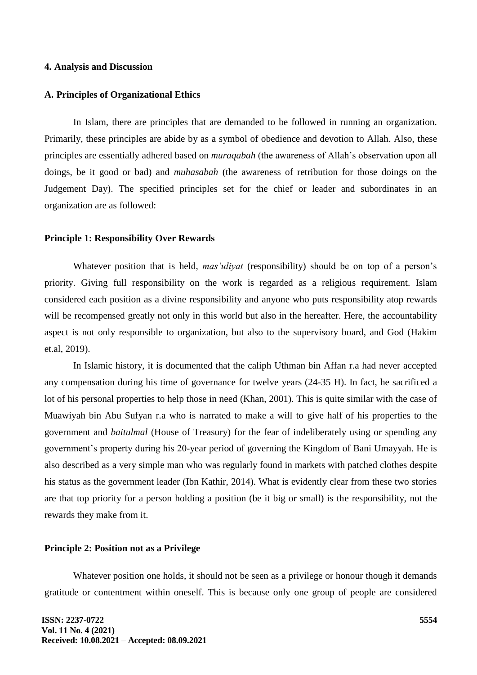### **4. Analysis and Discussion**

#### **A. Principles of Organizational Ethics**

In Islam, there are principles that are demanded to be followed in running an organization. Primarily, these principles are abide by as a symbol of obedience and devotion to Allah. Also, these principles are essentially adhered based on *muraqabah* (the awareness of Allah's observation upon all doings, be it good or bad) and *muhasabah* (the awareness of retribution for those doings on the Judgement Day). The specified principles set for the chief or leader and subordinates in an organization are as followed:

#### **Principle 1: Responsibility Over Rewards**

Whatever position that is held, *mas'uliyat* (responsibility) should be on top of a person's priority. Giving full responsibility on the work is regarded as a religious requirement. Islam considered each position as a divine responsibility and anyone who puts responsibility atop rewards will be recompensed greatly not only in this world but also in the hereafter. Here, the accountability aspect is not only responsible to organization, but also to the supervisory board, and God (Hakim et.al, 2019).

In Islamic history, it is documented that the caliph Uthman bin Affan r.a had never accepted any compensation during his time of governance for twelve years (24-35 H). In fact, he sacrificed a lot of his personal properties to help those in need (Khan, 2001). This is quite similar with the case of Muawiyah bin Abu Sufyan r.a who is narrated to make a will to give half of his properties to the government and *baitulmal* (House of Treasury) for the fear of indeliberately using or spending any government's property during his 20-year period of governing the Kingdom of Bani Umayyah. He is also described as a very simple man who was regularly found in markets with patched clothes despite his status as the government leader (Ibn Kathir, 2014). What is evidently clear from these two stories are that top priority for a person holding a position (be it big or small) is the responsibility, not the rewards they make from it.

## **Principle 2: Position not as a Privilege**

Whatever position one holds, it should not be seen as a privilege or honour though it demands gratitude or contentment within oneself. This is because only one group of people are considered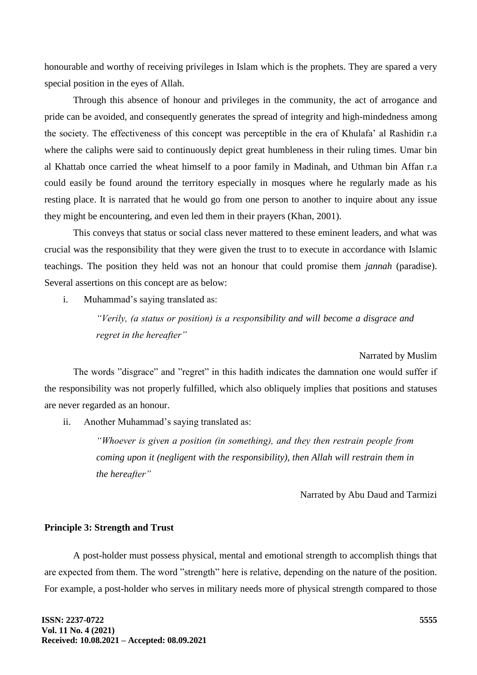honourable and worthy of receiving privileges in Islam which is the prophets. They are spared a very special position in the eyes of Allah.

Through this absence of honour and privileges in the community, the act of arrogance and pride can be avoided, and consequently generates the spread of integrity and high-mindedness among the society. The effectiveness of this concept was perceptible in the era of Khulafa' al Rashidin r.a where the caliphs were said to continuously depict great humbleness in their ruling times. Umar bin al Khattab once carried the wheat himself to a poor family in Madinah, and Uthman bin Affan r.a could easily be found around the territory especially in mosques where he regularly made as his resting place. It is narrated that he would go from one person to another to inquire about any issue they might be encountering, and even led them in their prayers (Khan, 2001).

This conveys that status or social class never mattered to these eminent leaders, and what was crucial was the responsibility that they were given the trust to to execute in accordance with Islamic teachings. The position they held was not an honour that could promise them *jannah* (paradise). Several assertions on this concept are as below:

i. Muhammad's saying translated as:

*"Verily, (a status or position) is a responsibility and will become a disgrace and regret in the hereafter"*

## Narrated by Muslim

The words "disgrace" and "regret" in this hadith indicates the damnation one would suffer if the responsibility was not properly fulfilled, which also obliquely implies that positions and statuses are never regarded as an honour.

ii. Another Muhammad's saying translated as:

*"Whoever is given a position (in something), and they then restrain people from coming upon it (negligent with the responsibility), then Allah will restrain them in the hereafter"*

Narrated by Abu Daud and Tarmizi

## **Principle 3: Strength and Trust**

A post-holder must possess physical, mental and emotional strength to accomplish things that are expected from them. The word "strength" here is relative, depending on the nature of the position. For example, a post-holder who serves in military needs more of physical strength compared to those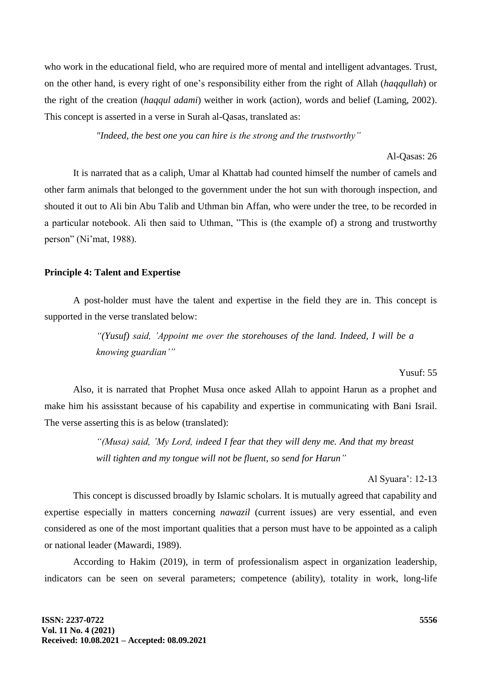who work in the educational field, who are required more of mental and intelligent advantages. Trust, on the other hand, is every right of one's responsibility either from the right of Allah (*haqqullah*) or the right of the creation (*haqqul adami*) weither in work (action), words and belief (Laming, 2002). This concept is asserted in a verse in Surah al-Qasas, translated as:

*"Indeed, the best one you can hire is the strong and the trustworthy"*

## Al-Qasas: 26

It is narrated that as a caliph, Umar al Khattab had counted himself the number of camels and other farm animals that belonged to the government under the hot sun with thorough inspection, and shouted it out to Ali bin Abu Talib and Uthman bin Affan, who were under the tree, to be recorded in a particular notebook. Ali then said to Uthman, "This is (the example of) a strong and trustworthy person" (Ni'mat, 1988).

## **Principle 4: Talent and Expertise**

A post-holder must have the talent and expertise in the field they are in. This concept is supported in the verse translated below:

> *"(Yusuf) said, 'Appoint me over the storehouses of the land. Indeed, I will be a knowing guardian'"*

## Yusuf: 55

Also, it is narrated that Prophet Musa once asked Allah to appoint Harun as a prophet and make him his assisstant because of his capability and expertise in communicating with Bani Israil. The verse asserting this is as below (translated):

> *"(Musa) said, 'My Lord, indeed I fear that they will deny me. And that my breast will tighten and my tongue will not be fluent, so send for Harun"*

#### Al Syuara': 12-13

This concept is discussed broadly by Islamic scholars. It is mutually agreed that capability and expertise especially in matters concerning *nawazil* (current issues) are very essential, and even considered as one of the most important qualities that a person must have to be appointed as a caliph or national leader (Mawardi, 1989).

According to Hakim (2019), in term of professionalism aspect in organization leadership, indicators can be seen on several parameters; competence (ability), totality in work, long-life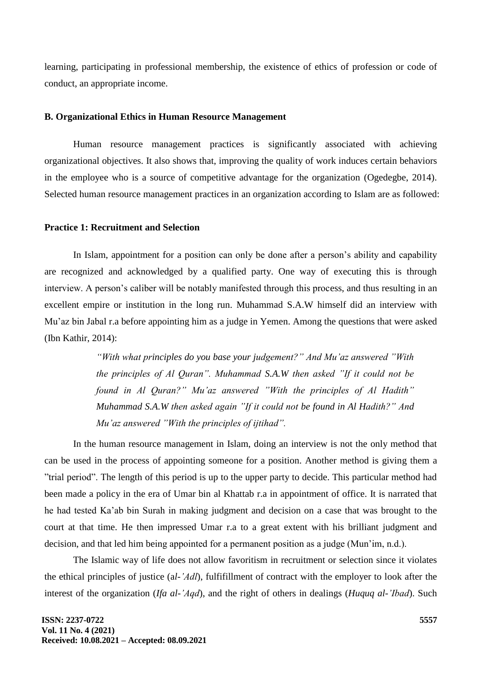learning, participating in professional membership, the existence of ethics of profession or code of conduct, an appropriate income.

## **B. Organizational Ethics in Human Resource Management**

Human resource management practices is significantly associated with achieving organizational objectives. It also shows that, improving the quality of work induces certain behaviors in the employee who is a source of competitive advantage for the organization (Ogedegbe, 2014). Selected human resource management practices in an organization according to Islam are as followed:

## **Practice 1: Recruitment and Selection**

In Islam, appointment for a position can only be done after a person's ability and capability are recognized and acknowledged by a qualified party. One way of executing this is through interview. A person's caliber will be notably manifested through this process, and thus resulting in an excellent empire or institution in the long run. Muhammad S.A.W himself did an interview with Mu'az bin Jabal r.a before appointing him as a judge in Yemen. Among the questions that were asked (Ibn Kathir, 2014):

> *"With what principles do you base your judgement?" And Mu'az answered "With the principles of Al Quran". Muhammad S.A.W then asked "If it could not be found in Al Quran?" Mu'az answered "With the principles of Al Hadith" Muhammad S.A.W then asked again "If it could not be found in Al Hadith?" And Mu'az answered "With the principles of ijtihad".*

In the human resource management in Islam, doing an interview is not the only method that can be used in the process of appointing someone for a position. Another method is giving them a "trial period". The length of this period is up to the upper party to decide. This particular method had been made a policy in the era of Umar bin al Khattab r.a in appointment of office. It is narrated that he had tested Ka'ab bin Surah in making judgment and decision on a case that was brought to the court at that time. He then impressed Umar r.a to a great extent with his brilliant judgment and decision, and that led him being appointed for a permanent position as a judge (Mun'im, n.d.).

The Islamic way of life does not allow favoritism in recruitment or selection since it violates the ethical principles of justice (a*l-'Adl*), fulfifillment of contract with the employer to look after the interest of the organization (*Ifa al-'Aqd*), and the right of others in dealings (*Huquq al-'Ibad*). Such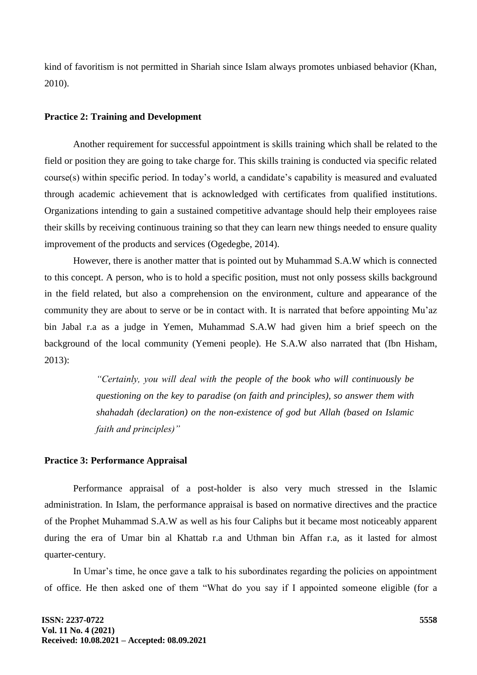kind of favoritism is not permitted in Shariah since Islam always promotes unbiased behavior (Khan, 2010).

#### **Practice 2: Training and Development**

Another requirement for successful appointment is skills training which shall be related to the field or position they are going to take charge for. This skills training is conducted via specific related course(s) within specific period. In today's world, a candidate's capability is measured and evaluated through academic achievement that is acknowledged with certificates from qualified institutions. Organizations intending to gain a sustained competitive advantage should help their employees raise their skills by receiving continuous training so that they can learn new things needed to ensure quality improvement of the products and services (Ogedegbe, 2014).

However, there is another matter that is pointed out by Muhammad S.A.W which is connected to this concept. A person, who is to hold a specific position, must not only possess skills background in the field related, but also a comprehension on the environment, culture and appearance of the community they are about to serve or be in contact with. It is narrated that before appointing Mu'az bin Jabal r.a as a judge in Yemen, Muhammad S.A.W had given him a brief speech on the background of the local community (Yemeni people). He S.A.W also narrated that (Ibn Hisham, 2013):

> *"Certainly, you will deal with the people of the book who will continuously be questioning on the key to paradise (on faith and principles), so answer them with shahadah (declaration) on the non-existence of god but Allah (based on Islamic faith and principles)"*

#### **Practice 3: Performance Appraisal**

Performance appraisal of a post-holder is also very much stressed in the Islamic administration. In Islam, the performance appraisal is based on normative directives and the practice of the Prophet Muhammad S.A.W as well as his four Caliphs but it became most noticeably apparent during the era of Umar bin al Khattab r.a and Uthman bin Affan r.a, as it lasted for almost quarter-century.

In Umar's time, he once gave a talk to his subordinates regarding the policies on appointment of office. He then asked one of them "What do you say if I appointed someone eligible (for a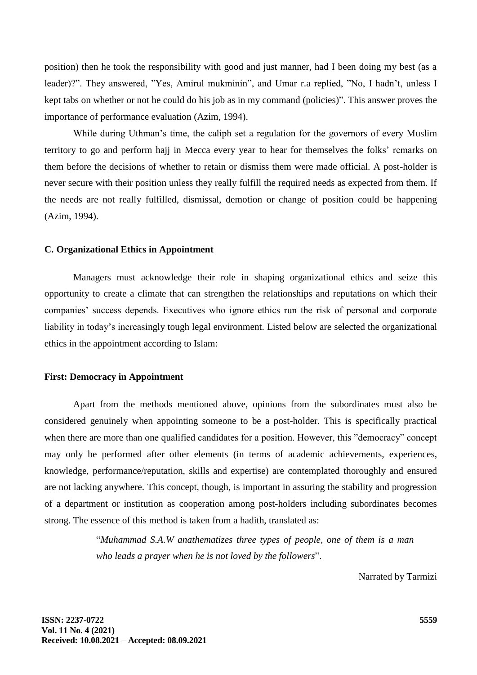position) then he took the responsibility with good and just manner, had I been doing my best (as a leader)?". They answered, "Yes, Amirul mukminin", and Umar r.a replied, "No, I hadn't, unless I kept tabs on whether or not he could do his job as in my command (policies)". This answer proves the importance of performance evaluation (Azim, 1994).

While during Uthman's time, the caliph set a regulation for the governors of every Muslim territory to go and perform hajj in Mecca every year to hear for themselves the folks' remarks on them before the decisions of whether to retain or dismiss them were made official. A post-holder is never secure with their position unless they really fulfill the required needs as expected from them. If the needs are not really fulfilled, dismissal, demotion or change of position could be happening (Azim, 1994).

### **C. Organizational Ethics in Appointment**

Managers must acknowledge their role in shaping organizational ethics and seize this opportunity to create a climate that can strengthen the relationships and reputations on which their companies' success depends. Executives who ignore ethics run the risk of personal and corporate liability in today's increasingly tough legal environment. Listed below are selected the organizational ethics in the appointment according to Islam:

## **First: Democracy in Appointment**

Apart from the methods mentioned above, opinions from the subordinates must also be considered genuinely when appointing someone to be a post-holder. This is specifically practical when there are more than one qualified candidates for a position. However, this "democracy" concept may only be performed after other elements (in terms of academic achievements, experiences, knowledge, performance/reputation, skills and expertise) are contemplated thoroughly and ensured are not lacking anywhere. This concept, though, is important in assuring the stability and progression of a department or institution as cooperation among post-holders including subordinates becomes strong. The essence of this method is taken from a hadith, translated as:

> "*Muhammad S.A.W anathematizes three types of people, one of them is a man who leads a prayer when he is not loved by the followers*".

> > Narrated by Tarmizi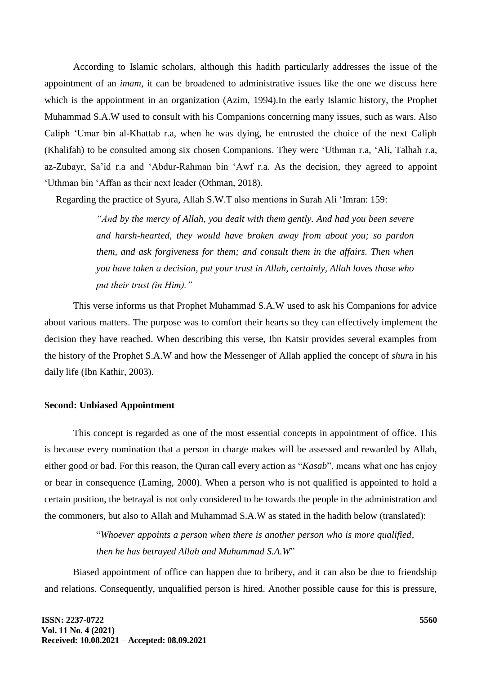According to Islamic scholars, although this hadith particularly addresses the issue of the appointment of an *imam*, it can be broadened to administrative issues like the one we discuss here which is the appointment in an organization (Azim, 1994).In the early Islamic history, the Prophet Muhammad S.A.W used to consult with his Companions concerning many issues, such as wars. Also Caliph 'Umar bin al-Khattab r.a, when he was dying, he entrusted the choice of the next Caliph (Khalifah) to be consulted among six chosen Companions. They were 'Uthman r.a, 'Ali, Talhah r.a, az-Zubayr, Sa'id r.a and 'Abdur-Rahman bin 'Awf r.a. As the decision, they agreed to appoint 'Uthman bin 'Affan as their next leader (Othman, 2018).

Regarding the practice of Syura, Allah S.W.T also mentions in Surah Ali 'Imran: 159:

*"And by the mercy of Allah, you dealt with them gently. And had you been severe and harsh-hearted, they would have broken away from about you; so pardon them, and ask forgiveness for them; and consult them in the affairs. Then when you have taken a decision, put your trust in Allah, certainly, Allah loves those who put their trust (in Him)."*

This verse informs us that Prophet Muhammad S.A.W used to ask his Companions for advice about various matters. The purpose was to comfort their hearts so they can effectively implement the decision they have reached. When describing this verse, Ibn Katsir provides several examples from the history of the Prophet S.A.W and how the Messenger of Allah applied the concept of *shur*a in his daily life (Ibn Kathir, 2003).

## **Second: Unbiased Appointment**

This concept is regarded as one of the most essential concepts in appointment of office. This is because every nomination that a person in charge makes will be assessed and rewarded by Allah, either good or bad. For this reason, the Quran call every action as "*Kasab*", means what one has enjoy or bear in consequence (Laming, 2000). When a person who is not qualified is appointed to hold a certain position, the betrayal is not only considered to be towards the people in the administration and the commoners, but also to Allah and Muhammad S.A.W as stated in the hadith below (translated):

> "*Whoever appoints a person when there is another person who is more qualified, then he has betrayed Allah and Muhammad S.A.W*"

Biased appointment of office can happen due to bribery, and it can also be due to friendship and relations. Consequently, unqualified person is hired. Another possible cause for this is pressure,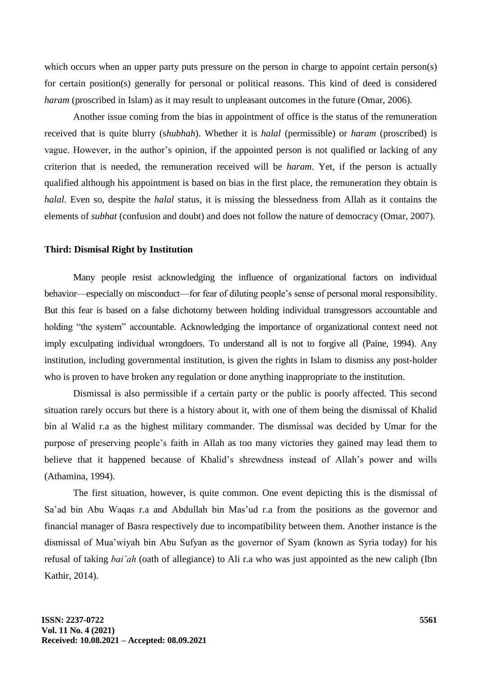which occurs when an upper party puts pressure on the person in charge to appoint certain person(s) for certain position(s) generally for personal or political reasons. This kind of deed is considered *haram* (proscribed in Islam) as it may result to unpleasant outcomes in the future (Omar, 2006).

Another issue coming from the bias in appointment of office is the status of the remuneration received that is quite blurry (s*hubhah*). Whether it is *halal* (permissible) or *haram* (proscribed) is vague. However, in the author's opinion, if the appointed person is not qualified or lacking of any criterion that is needed, the remuneration received will be *haram*. Yet, if the person is actually qualified although his appointment is based on bias in the first place, the remuneration they obtain is *halal*. Even so, despite the *halal* status, it is missing the blessedness from Allah as it contains the elements of *subhat* (confusion and doubt) and does not follow the nature of democracy (Omar, 2007).

### **Third: Dismisal Right by Institution**

Many people resist acknowledging the influence of organizational factors on individual behavior—especially on misconduct—for fear of diluting people's sense of personal moral responsibility. But this fear is based on a false dichotomy between holding individual transgressors accountable and holding "the system" accountable. Acknowledging the importance of organizational context need not imply exculpating individual wrongdoers. To understand all is not to forgive all (Paine, 1994). Any institution, including governmental institution, is given the rights in Islam to dismiss any post-holder who is proven to have broken any regulation or done anything inappropriate to the institution.

Dismissal is also permissible if a certain party or the public is poorly affected. This second situation rarely occurs but there is a history about it, with one of them being the dismissal of Khalid bin al Walid r.a as the highest military commander. The dismissal was decided by Umar for the purpose of preserving people's faith in Allah as too many victories they gained may lead them to believe that it happened because of Khalid's shrewdness instead of Allah's power and wills (Athamina, 1994).

The first situation, however, is quite common. One event depicting this is the dismissal of Sa'ad bin Abu Waqas r.a and Abdullah bin Mas'ud r.a from the positions as the governor and financial manager of Basra respectively due to incompatibility between them. Another instance is the dismissal of Mua'wiyah bin Abu Sufyan as the governor of Syam (known as Syria today) for his refusal of taking *bai'ah* (oath of allegiance) to Ali r.a who was just appointed as the new caliph (Ibn Kathir, 2014).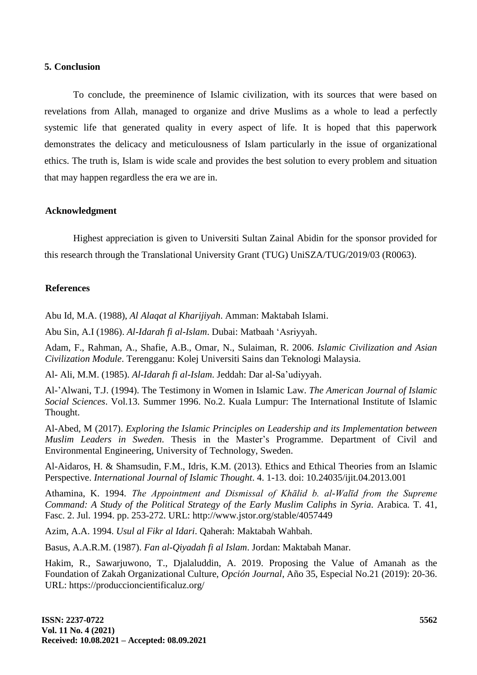#### **5. Conclusion**

To conclude, the preeminence of Islamic civilization, with its sources that were based on revelations from Allah, managed to organize and drive Muslims as a whole to lead a perfectly systemic life that generated quality in every aspect of life. It is hoped that this paperwork demonstrates the delicacy and meticulousness of Islam particularly in the issue of organizational ethics. The truth is, Islam is wide scale and provides the best solution to every problem and situation that may happen regardless the era we are in.

## **Acknowledgment**

Highest appreciation is given to Universiti Sultan Zainal Abidin for the sponsor provided for this research through the Translational University Grant (TUG) UniSZA/TUG/2019/03 (R0063).

## **References**

Abu Id, M.A. (1988), *Al Alaqat al Kharijiyah*. Amman: Maktabah Islami.

Abu Sin, A.I (1986). *Al-Idarah fi al-Islam*. Dubai: Matbaah 'Asriyyah.

Adam, F., Rahman, A., Shafie, A.B., Omar, N., Sulaiman, R. 2006. *Islamic Civilization and Asian Civilization Module*. Terengganu: Kolej Universiti Sains dan Teknologi Malaysia.

Al- Ali, M.M. (1985). *Al-Idarah fi al-Islam*. Jeddah: Dar al-Sa'udiyyah.

Al-'Alwani, T.J. (1994). The Testimony in Women in Islamic Law. *The American Journal of Islamic Social Sciences*. Vol.13. Summer 1996. No.2. Kuala Lumpur: The International Institute of Islamic Thought.

Al-Abed, M (2017). *Exploring the Islamic Principles on Leadership and its Implementation between Muslim Leaders in Sweden.* Thesis in the Master's Programme. Department of Civil and Environmental Engineering, University of Technology, Sweden.

Al-Aidaros, H. & Shamsudin, F.M., Idris, K.M. (2013). Ethics and Ethical Theories from an Islamic Perspective. *International Journal of Islamic Thought*. 4. 1-13. doi: 10.24035/ijit.04.2013.001

Athamina, K. 1994. *The Appointment and Dismissal of Khālid b. al-Walīd from the Supreme Command: A Study of the Political Strategy of the Early Muslim Caliphs in Syria.* Arabica*.* T. 41, Fasc. 2. Jul. 1994. pp. 253-272. URL: http://www.jstor.org/stable/4057449

Azim, A.A. 1994. *Usul al Fikr al Idari*. Qaherah: Maktabah Wahbah.

Basus, A.A.R.M. (1987). *Fan al-Qiyadah fi al Islam*. Jordan: Maktabah Manar.

Hakim, R., Sawarjuwono, T., Djalaluddin, A. 2019. Proposing the Value of Amanah as the Foundation of Zakah Organizational Culture, *Opción Journal*, Año 35, Especial No.21 (2019): 20-36. URL: https://produccioncientificaluz.org/